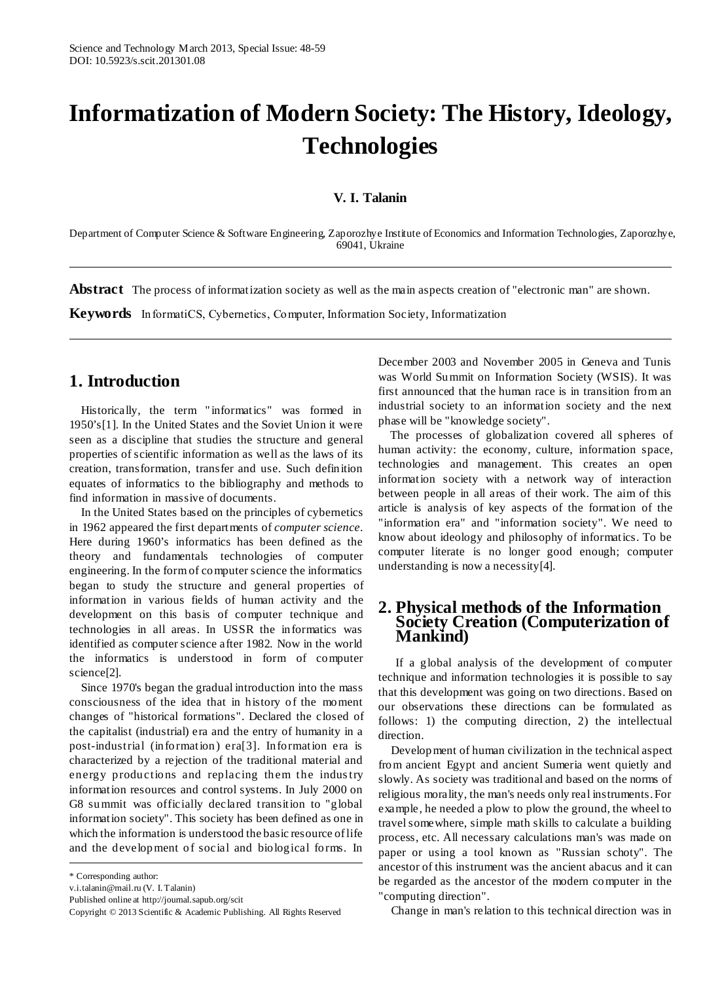# **Informatization of Modern Society: The History, Ideology, Technologies**

#### **V. I. Talanin**

Department of Computer Science & Software Engineering, Zaporozhye Institute of Economics and Information Technologies, Zaporozhye, 69041, Ukraine

**Abstract** The process of informatization society as well as the main aspects creation of "electronic man" are shown.

**Keywords** InformatiCS, Cybernetics, Computer, Information Society, Informatization

## **1. Introduction**

Historically, the term " informatics" was formed in 1950's[1]. In the United States and the Soviet Union it were seen as a discipline that studies the structure and general properties of scientific information as well as the laws of its creation, transformation, transfer and use. Such definition equates of informatics to the bibliography and methods to find information in massive of documents.

In the United States based on the principles of cybernetics in 1962 appeared the first departments of *computer science*. Here during 1960's informatics has been defined as the theory and fundamentals technologies of computer engineering. In the form of computer science the informatics began to study the structure and general properties of information in various fields of human activity and the development on this basis of computer technique and technologies in all areas. In USSR the informatics was identified as computer science after 1982. Now in the world the informatics is understood in form of computer science[2].

Since 1970's began the gradual introduction into the mass consciousness of the idea that in history of the moment changes of "historical formations". Declared the closed of the capitalist (industrial) era and the entry of humanity in a post-industrial (information) era[3]. Information era is characterized by a rejection of the traditional material and energy productions and replacing them the indus try information resources and control systems. In July 2000 on G8 summit was officially declared transition to "global information society". This society has been defined as one in which the information is understood the basic resource of life and the development of social and biological forms. In

December 2003 and November 2005 in Geneva and Tunis was World Summit on Information Society (WSIS). It was first announced that the human race is in transition from an industrial society to an information society and the next phase will be "knowledge society".

The processes of globalization covered all spheres of human activity: the economy, culture, information space, technologies and management. This creates an open information society with a network way of interaction between people in all areas of their work. The aim of this article is analysis of key aspects of the formation of the "information era" and "information society". We need to know about ideology and philosophy of informatics. To be computer literate is no longer good enough; computer understanding is now a necessity[4].

### **2. Physical methods of the Information Society Creation (Computerization of Mankind)**

If a global analysis of the development of computer technique and information technologies it is possible to say that this development was going on two directions. Based on our observations these directions can be formulated as follows: 1) the computing direction, 2) the intellectual direction.

Development of human civilization in the technical aspect from ancient Egypt and ancient Sumeria went quietly and slowly. As society was traditional and based on the norms of religious morality, the man's needs only real instruments. For example, he needed a plow to plow the ground, the wheel to travel somewhere, simple math skills to calculate a building process, etc. All necessary calculations man's was made on paper or using a tool known as "Russian schoty". The ancestor of this instrument was the ancient abacus and it can be regarded as the ancestor of the modern computer in the "computing direction".

Change in man's relation to this technical direction was in

<sup>\*</sup> Corresponding author:

v.i.talanin@mail.ru (V. I. Talanin)

Published online at http://journal.sapub.org/scit

Copyright © 2013 Scientific & Academic Publishing. All Rights Reserved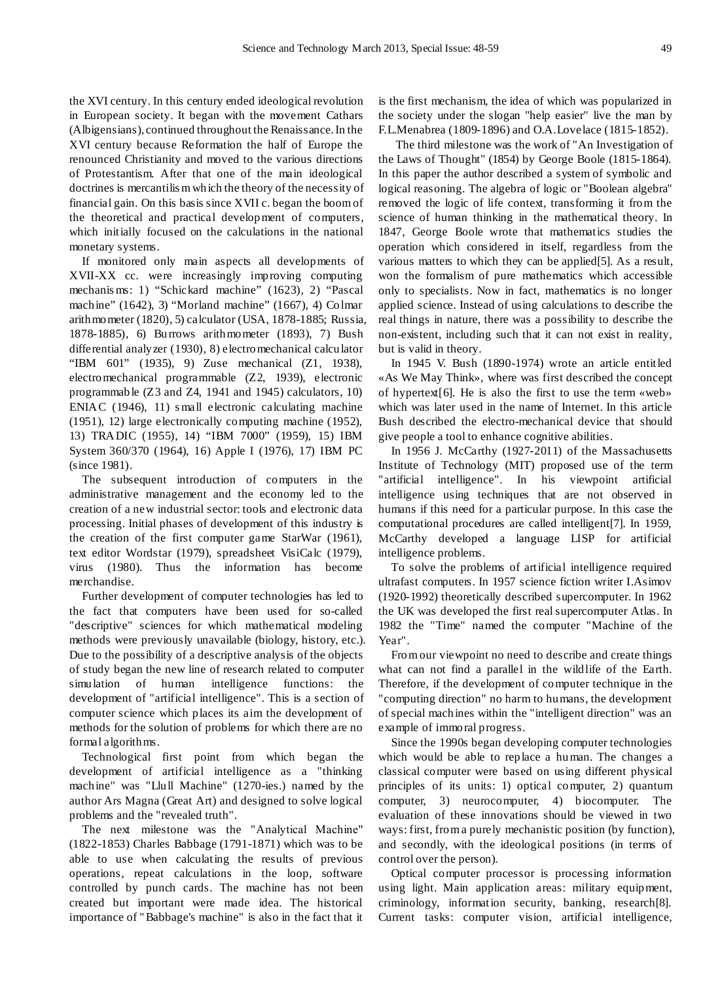the XVI century. In this century ended ideological revolution in European society. It began with the movement Cathars (Albigensians), continued throughout the Renaissance. In the XVI century because Reformation the half of Europe the renounced Christianity and moved to the various directions of Protestantism. After that one of the main ideological doctrines is mercantilis m which the theory of the necessity of financial gain. On this basis since XVII c. began the boom of the theoretical and practical development of computers, which initially focused on the calculations in the national monetary systems.

If monitored only main aspects all developments of XVII-XX cc. were increasingly improving computing mechanis ms: 1) "Schickard machine" (1623), 2) "Pascal machine" (1642), 3) "Morland machine" (1667), 4) Colmar arithmometer (1820), 5) calculator (USA, 1878-1885; Russia, 1878-1885), 6) Burrows arithmometer (1893), 7) Bush differential analyzer (1930), 8) electromechanical calculator "IBM 601" (1935), 9) Zuse mechanical (Z1, 1938), electromechanical programmable (Z2, 1939), electronic programmable (Z3 and Z4, 1941 and 1945) calculators, 10) ENIAC (1946), 11) small electronic calculating machine (1951), 12) large electronically computing machine (1952), 13) TRADIC (1955), 14) "IBM 7000" (1959), 15) IBM System 360/370 (1964), 16) Apple I (1976), 17) IBM PC (since 1981).

The subsequent introduction of computers in the administrative management and the economy led to the creation of a new industrial sector: tools and electronic data processing. Initial phases of development of this industry is the creation of the first computer game StarWar (1961), text editor Wordstar (1979), spreadsheet VisiCalc (1979), virus (1980). Thus the information has become merchandise.

Further development of computer technologies has led to the fact that computers have been used for so-called "descriptive" sciences for which mathematical modeling methods were previously unavailable (biology, history, etc.). Due to the possibility of a descriptive analysis of the objects of study began the new line of research related to computer simulation of human intelligence functions: the development of "artificial intelligence". This is a section of computer science which places its aim the development of methods for the solution of problems for which there are no formal algorithms.

Technological first point from which began the development of artificial intelligence as a "thinking machine" was "Llull Machine" (1270-ies.) named by the author Ars Magna (Great Art) and designed to solve logical problems and the "revealed truth".

The next milestone was the "Analytical Maсhine" (1822-1853) Charles Babbage (1791-1871) which was to be able to use when calculating the results of previous operations, repeat calculations in the loop, software controlled by punch cards. The machine has not been created but important were made idea. The historical importance of " Babbage's machine" is also in the fact that it

is the first mechanism, the idea of which was popularized in the society under the slogan "help easier" live the man by F.L.Menabrea (1809-1896) and O.A.Lovelace (1815-1852).

The third milestone was the work of "An Investigation of the Laws of Thought" (1854) by George Boole (1815-1864). In this paper the author described a system of symbolic and logical reasoning. The algebra of logic or "Boolean algebra" removed the logic of life context, transforming it from the science of human thinking in the mathematical theory. In 1847, George Boole wrote that mathematics studies the operation which considered in itself, regardless from the various matters to which they can be applied[5]. As a result, won the formalism of pure mathematics which accessible only to specialists. Now in fact, mathematics is no longer applied science. Instead of using calculations to describe the real things in nature, there was a possibility to describe the non-existent, including such that it can not exist in reality, but is valid in theory.

In 1945 V. Bush (1890-1974) wrote an article entitled «As We May Think», where was first described the concept of hypertext[6]. He is also the first to use the term «web» which was later used in the name of Internet. In this article Bush described the electro-mechanical device that should give people a tool to enhance cognitive abilities.

In 1956 J. McCarthy (1927-2011) of the Massachusetts Institute of Technology (MIT) proposed use of the term "artificial intelligence". In his viewpoint artificial intelligence using techniques that are not observed in humans if this need for a particular purpose. In this case the computational procedures are called intelligent[7]. In 1959, McCarthy developed a language LISP for artificial intelligence problems.

To solve the problems of artificial intelligence required ultrafast computers. In 1957 science fiction writer I.Asimov (1920-1992) theoretically described supercomputer. In 1962 the UK was developed the first real supercomputer Atlas. In 1982 the "Time" named the computer "Machine of the Year".

From our viewpoint no need to describe and create things what can not find a parallel in the wildlife of the Earth. Therefore, if the development of computer technique in the "computing direction" no harm to humans, the development of special machines within the "intelligent direction" was an example of immoral progress.

Since the 1990s began developing computer technologies which would be able to replace a human. The changes a classical computer were based on using different physical principles of its units: 1) optical computer, 2) quantum computer, 3) neurocomputer, 4) biocomputer. The evaluation of these innovations should be viewed in two ways: first, from a purely mechanistic position (by function), and secondly, with the ideological positions (in terms of control over the person).

Optical computer processor is processing information using light. Main application areas: military equipment, criminology, information security, banking, research[8]. Current tasks: computer vision, artificial intelligence,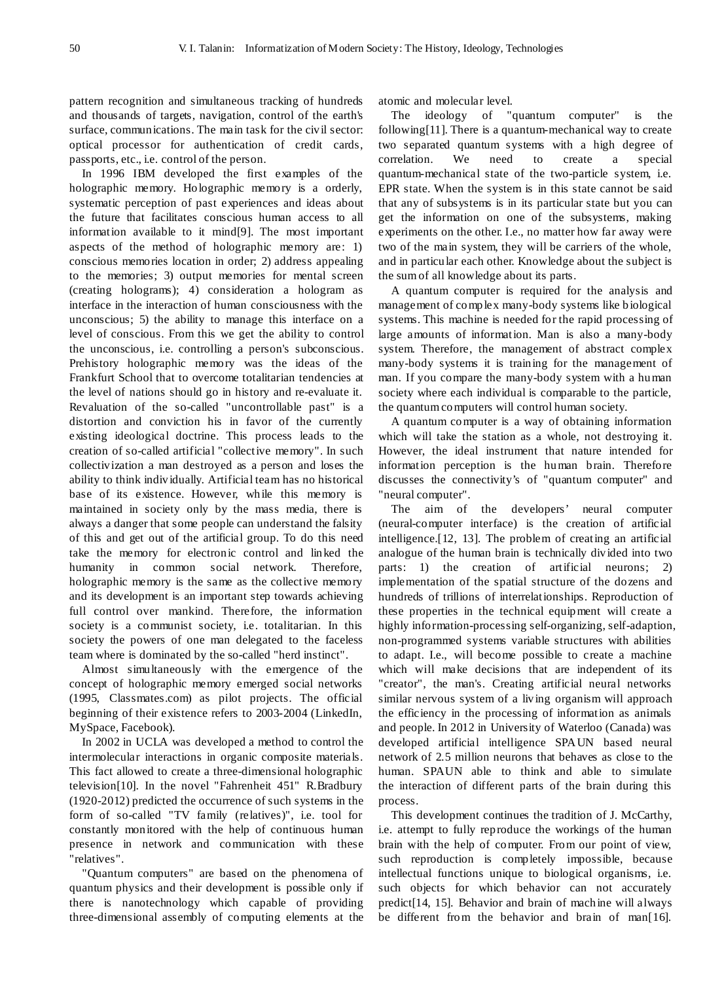pattern recognition and simultaneous tracking of hundreds and thousands of targets, navigation, control of the earth's surface, communications. The main task for the civil sector: optical processor for authentication of credit cards, passports, etc., i.e. control of the person.

In 1996 IBM developed the first examples of the holographic memory. Holographic memory is a orderly, systematic perception of past experiences and ideas about the future that facilitates conscious human access to all information available to it mind[9]. The most important aspects of the method of holographic memory are: 1) conscious memories location in order; 2) address appealing to the memories; 3) output memories for mental screen (creating holograms); 4) consideration a hologram as interface in the interaction of human consciousness with the unconscious; 5) the ability to manage this interface on a level of conscious. From this we get the ability to control the unconscious, i.e. controlling a person's subconscious. Prehistory holographic memory was the ideas of the Frankfurt School that to overcome totalitarian tendencies at the level of nations should go in history and re-evaluate it. Revaluation of the so-called "uncontrollable past" is a distortion and conviction his in favor of the currently existing ideological doctrine. This process leads to the creation of so-called artificial "collective memory". In such collectivization a man destroyed as a person and loses the ability to think individually. Artificial team has no historical base of its existence. However, while this memory is maintained in society only by the mass media, there is always a danger that some people can understand the falsity of this and get out of the artificial group. To do this need take the memory for electronic control and linked the humanity in common social network. Therefore, holographic memory is the same as the collective memory and its development is an important step towards achieving full control over mankind. Therefore, the information society is a communist society, i.e. totalitarian. In this society the powers of one man delegated to the faceless team where is dominated by the so-called "herd instinct".

Almost simultaneously with the emergence of the concept of holographic memory emerged social networks (1995, Classmates.com) as pilot projects. The official beginning of their existence refers to 2003-2004 (LinkedIn, MySpace, Facebook).

In 2002 in UCLA was developed a method to control the intermolecular interactions in organic composite materials. This fact allowed to create a three-dimensional holographic television[10]. In the novel "Fahrenheit 451" R.Bradbury (1920-2012) predicted the occurrence of such systems in the form of so-called "TV family (relatives)", i.e. tool for constantly monitored with the help of continuous human presence in network and communication with these "relatives".

"Quantum computers" are based on the phenomena of quantum physics and their development is possible only if there is nanotechnology which capable of providing three-dimensional assembly of computing elements at the atomic and molecular level.

The ideology of "quantum computer" is the following[11]. There is a quantum-mechanical way to create two separated quantum systems with a high degree of correlation. We need to create a special quantum-mechanical state of the two-particle system, i.e. EPR state. When the system is in this state cannot be said that any of subsystems is in its particular state but you can get the information on one of the subsystems, making experiments on the other. I.e., no matter how far away were two of the main system, they will be carriers of the whole, and in particular each other. Knowledge about the subject is the sum of all knowledge about its parts.

A quantum computer is required for the analysis and management of complex many-body systems like biological systems. This machine is needed for the rapid processing of large amounts of information. Man is also a many-body system. Therefore, the management of abstract complex many-body systems it is training for the management of man. If you compare the many-body system with a human society where each individual is comparable to the particle, the quantum computers will control human society.

A quantum computer is a way of obtaining information which will take the station as a whole, not destroying it. However, the ideal instrument that nature intended for information perception is the human brain. Therefore discusses the connectivity's of "quantum computer" and "neural computer".

The aim of the developers' neural computer (neural-computer interface) is the creation of artificial intelligence.[12, 13]. The problem of creating an artificial analogue of the human brain is technically divided into two parts: 1) the creation of artificial neurons; 2) implementation of the spatial structure of the dozens and hundreds of trillions of interrelationships. Reproduction of these properties in the technical equipment will create a highly information-processing self-organizing, self-adaption, non-programmed systems variable structures with abilities to adapt. I.e., will become possible to create a machine which will make decisions that are independent of its "creator", the man's. Creating artificial neural networks similar nervous system of a living organism will approach the efficiency in the processing of information as animals and people. In 2012 in University of Waterloo (Canada) was developed artificial intelligence SPAUN based neural network of 2.5 million neurons that behaves as close to the human. SPAUN able to think and able to simulate the interaction of different parts of the brain during this process.

This development continues the tradition of J. McCarthy, i.e. attempt to fully reproduce the workings of the human brain with the help of computer. From our point of view, such reproduction is completely impossible, because intellectual functions unique to biological organisms, i.e. such objects for which behavior can not accurately predict[14, 15]. Behavior and brain of machine will always be different from the behavior and brain of man[16].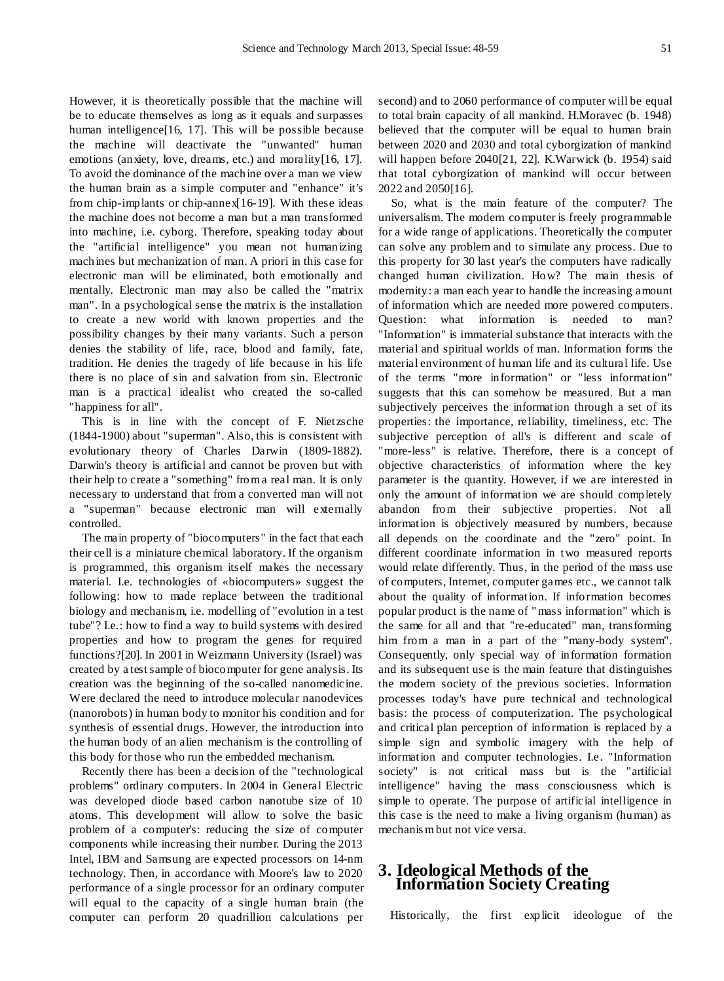However, it is theoretically possible that the machine will be to educate themselves as long as it equals and surpasses human intelligence<sup>[16, 17]</sup>. This will be possible because the machine will deactivate the "unwanted" human emotions (anxiety, love, dreams, etc.) and morality[16, 17]. To avoid the dominance of the machine over a man we view the human brain as a simple computer and "enhance" it's from chip-implants or chip-annex[16-19]. With these ideas the machine does not become a man but a man transformed into machine, i.e. cyborg. Therefore, speaking today about the "artificial intelligence" you mean not humanizing machines but mechanization of man. A priori in this case for electronic man will be eliminated, both emotionally and mentally. Electronic man may also be called the "matrix man". In a psychological sense the matrix is the installation to create a new world with known properties and the possibility changes by their many variants. Such a person denies the stability of life, race, blood and family, fate, tradition. He denies the tragedy of life because in his life there is no place of sin and salvation from sin. Electronic man is a practical idealist who created the so-called "happiness for all".

This is in line with the concept of F. Nietzsche (1844-1900) about "superman". Also, this is consistent with evolutionary theory of Charles Darwin (1809-1882). Darwin's theory is artificial and cannot be proven but with their help to create a "something" from a real man. It is only necessary to understand that from a converted man will not a "superman" because electronic man will externally controlled.

The main property of "biocomputers" in the fact that each their cell is a miniature chemical laboratory. If the organism is programmed, this organism itself makes the necessary material. I.e. technologies of «biocomputers» suggest the following: how to made replace between the traditional biology and mechanism, i.e. modelling of "evolution in a test tube"? I.e.: how to find a way to build systems with desired properties and how to program the genes for required functions?[20]. In 2001 in Weizmann University (Israel) was created by a test sample of biocomputer for gene analysis. Its creation was the beginning of the so-called nanomedicine. Were declared the need to introduce molecular nanodevices (nanorobots) in human body to monitor his condition and for synthesis of essential drugs. However, the introduction into the human body of an alien mechanism is the controlling of this body for those who run the embedded mechanism.

Recently there has been a decision of the "technological problems" ordinary computers. In 2004 in General Electric was developed diode based carbon nanotube size of 10 atoms. This development will allow to solve the basic problem of a computer's: reducing the size of computer components while increasing their number. During the 2013 Intel, IBM and Samsung are expected processors on 14-nm technology. Then, in accordance with Moore's law to 2020 performance of a single processor for an ordinary computer will equal to the capacity of a single human brain (the computer can perform 20 quadrillion calculations per

second) and to 2060 performance of computer will be equal to total brain capacity of all mankind. H.Moravec (b. 1948) believed that the computer will be equal to human brain between 2020 and 2030 and total cyborgization of mankind will happen before 2040[21, 22]. K.Warwick (b. 1954) said that total cyborgization of mankind will occur between 2022 and 2050[16].

So, what is the main feature of the computer? The universalism. The modern computer is freely programmable for a wide range of applications. Theoretically the computer can solve any problem and to simulate any process. Due to this property for 30 last year's the computers have radically changed human civilization. How? The main thesis of modernity: a man each year to handle the increasing amount of information which are needed more powered computers. Question: what information is needed to man? "Information" is immaterial substance that interacts with the material and spiritual worlds of man. Information forms the material environment of human life and its cultural life. Use of the terms "more information" or "less information" suggests that this can somehow be measured. But a man subjectively perceives the information through a set of its properties: the importance, reliability, timeliness, etc. The subjective perception of all's is different and scale of "more-less" is relative. Therefore, there is a concept of objective characteristics of information where the key parameter is the quantity. However, if we are interested in only the amount of information we are should completely abandon from their subjective properties. Not all information is objectively measured by numbers, because all depends on the coordinate and the "zero" point. In different coordinate information in two measured reports would relate differently. Thus, in the period of the mass use of computers, Internet, computer games etc., we cannot talk about the quality of information. If information becomes popular product is the name of " mass information" which is the same for all and that "re-educated" man, transforming him from a man in a part of the "many-body system". Consequently, only special way of information formation and its subsequent use is the main feature that distinguishes the modern society of the previous societies. Information processes today's have pure technical and technological basis: the process of computerization. The psychological and critical plan perception of information is replaced by a simple sign and symbolic imagery with the help of information and computer technologies. I.e. "Information society" is not critical mass but is the "artificial intelligence" having the mass consciousness which is simple to operate. The purpose of artificial intelligence in this case is the need to make a living organism (human) as mechanis m but not vice versa.

#### **3. Ideological Methods of the Information Society Creating**

Historically, the first explicit ideologue of the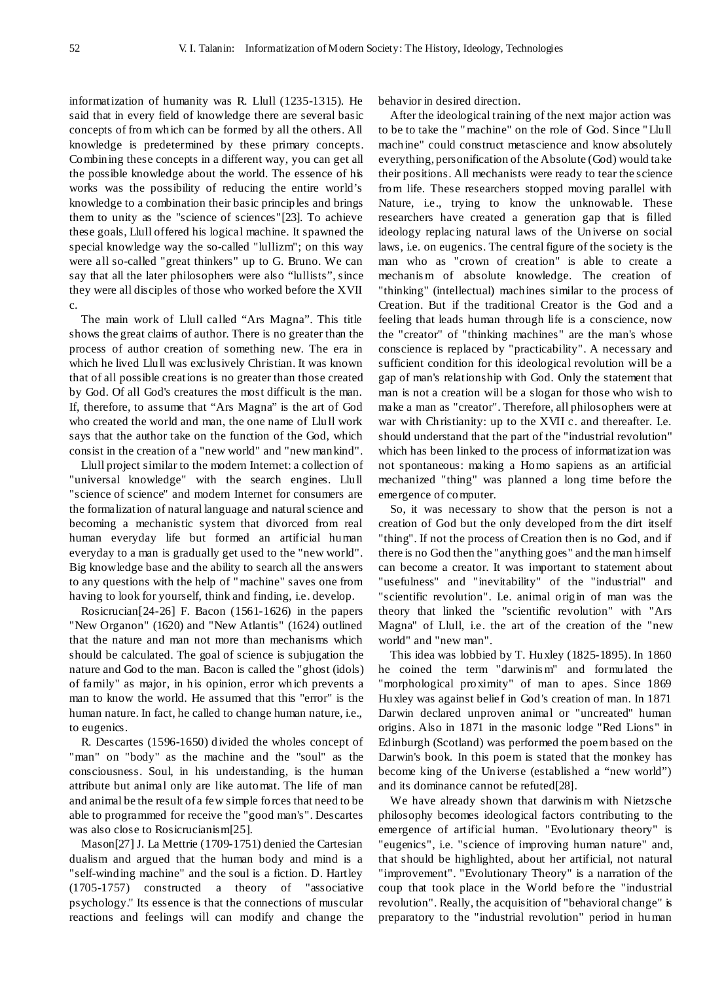informatization of humanity was R. Llull (1235-1315). He said that in every field of knowledge there are several basic concepts of from which can be formed by all the others. All knowledge is predetermined by these primary concepts. Combining these concepts in a different way, you can get all the possible knowledge about the world. The essence of his works was the possibility of reducing the entire world's knowledge to a combination their basic principles and brings them to unity as the "science of sciences"[23]. To achieve these goals, Llull offered his logical machine. It spawned the special knowledge way the so-called "lullizm"; on this way were all so-called "great thinkers" up to G. Bruno. We can say that all the later philosophers were also "lullists", since they were all disciples of those who worked before the XVII c.

The main work of Llull called "Ars Magna". This title shows the great claims of author. There is no greater than the process of author creation of something new. The era in which he lived Llull was exclusively Christian. It was known that of all possible creations is no greater than those created by God. Of all God's creatures the most difficult is the man. If, therefore, to assume that "Ars Magna" is the art of God who created the world and man, the one name of Llull work says that the author take on the function of the God, which consist in the creation of a "new world" and "new mankind".

Llull project similar to the modern Internet: a collection of "universal knowledge" with the search engines. Llull "science of science" and modern Internet for consumers are the formalization of natural language and natural science and becoming a mechanistic system that divorced from real human everyday life but formed an artificial human everyday to a man is gradually get used to the "new world". Big knowledge base and the ability to search all the answers to any questions with the help of " machine" saves one from having to look for yourself, think and finding, i.e. develop.

Rosicrucian[24-26] F. Bacon (1561-1626) in the papers "New Organon" (1620) and "New Atlantis" (1624) outlined that the nature and man not more than mechanisms which should be calculated. The goal of science is subjugation the nature and God to the man. Bacon is called the "ghost (idols) of family" as major, in his opinion, error which prevents a man to know the world. He assumed that this "error" is the human nature. In fact, he called to change human nature, i.e., to eugenics.

R. Descartes (1596-1650) divided the wholes concept of "man" on "body" as the machine and the "soul" as the consciousness. Soul, in his understanding, is the human attribute but animal only are like automat. The life of man and animal be the result of a few simple forces that need to be able to programmed for receive the "good man's". Descartes was also close to Rosicrucianism[25].

Mason[27] J. La Mettrie (1709-1751) denied the Cartesian dualism and argued that the human body and mind is a "self-winding machine" and the soul is a fiction. D. Hartley (1705-1757) constructed a theory of "associative psychology." Its essence is that the connections of muscular reactions and feelings will can modify and change the behavior in desired direction.

After the ideological training of the next major action was to be to take the " machine" on the role of God. Since " Llull machine" could construct metascience and know absolutely everything, personification of the Absolute (God) would take their positions. All mechanists were ready to tear the science from life. These researchers stopped moving parallel with Nature, i.e., trying to know the unknowable. These researchers have created a generation gap that is filled ideology replacing natural laws of the Universe on social laws, i.e. on eugenics. The central figure of the society is the man who as "crown of creation" is able to create a mechanis m of absolute knowledge. The creation of "thinking" (intellectual) machines similar to the process of Creation. But if the traditional Creator is the God and a feeling that leads human through life is a conscience, now the "creator" of "thinking machines" are the man's whose conscience is replaced by "practicability". A necessary and sufficient condition for this ideological revolution will be a gap of man's relationship with God. Only the statement that man is not a creation will be a slogan for those who wish to make a man as "creator". Therefore, all philosophers were at war with Christianity: up to the XVII c. and thereafter. I.e. should understand that the part of the "industrial revolution" which has been linked to the process of informatization was not spontaneous: making a Homo sapiens as an artificial mechanized "thing" was planned a long time before the emergence of computer.

So, it was necessary to show that the person is not a creation of God but the only developed from the dirt itself "thing". If not the process of Creation then is no God, and if there is no God then the "anything goes" and the man himself can become a creator. It was important to statement about "usefulness" and "inevitability" of the "industrial" and "scientific revolution". I.e. animal origin of man was the theory that linked the "scientific revolution" with "Ars Magna" of Llull, i.e. the art of the creation of the "new world" and "new man".

This idea was lobbied by T. Huxley (1825-1895). In 1860 he coined the term "darwinis m" and formulated the "morphological proximity" of man to apes. Since 1869 Huxley was against belief in God's creation of man. In 1871 Darwin declared unproven animal or "uncreated" human origins. Also in 1871 in the masonic lodge "Red Lions" in Edinburgh (Scotland) was performed the poem based on the Darwin's book. In this poem is stated that the monkey has become king of the Universe (established a "new world") and its dominance cannot be refuted[28].

We have already shown that darwinis m with Nietzsche philosophy becomes ideological factors contributing to the emergence of artificial human. "Evolutionary theory" is "eugenics", i.e. "science of improving human nature" and, that should be highlighted, about her artificial, not natural "improvement". "Evolutionary Theory" is a narration of the coup that took place in the World before the "industrial revolution". Really, the acquisition of "behavioral change" is preparatory to the "industrial revolution" period in human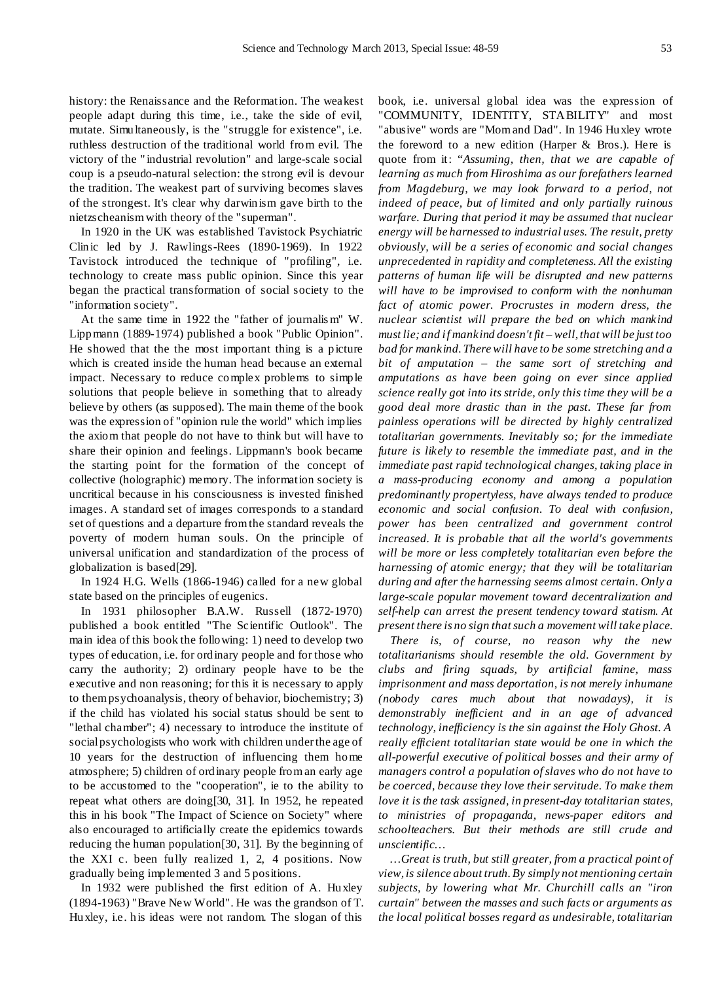history: the Renaissance and the Reformation. The weakest people adapt during this time, i.e., take the side of evil, mutate. Simultaneously, is the "struggle for existence", i.e. ruthless destruction of the traditional world from evil. The victory of the " industrial revolution" and large-scale social coup is a pseudo-natural selection: the strong evil is devour the tradition. The weakest part of surviving becomes slaves of the strongest. It's clear why darwinism gave birth to the nietzscheanism with theory of the "superman".

In 1920 in the UK was established Tavistock Psychiatric Clinic led by J. Rawlings-Rees (1890-1969). In 1922 Tavistock introduced the technique of "profiling", i.e. technology to create mass public opinion. Since this year began the practical transformation of social society to the "information society".

At the same time in 1922 the "father of journalis m" W. Lippmann (1889-1974) published a book "Public Opinion". He showed that the the most important thing is a picture which is created inside the human head because an external impact. Necessary to reduce complex problems to simple solutions that people believe in something that to already believe by others (as supposed). The main theme of the book was the expression of "opinion rule the world" which implies the axiom that people do not have to think but will have to share their opinion and feelings. Lippmann's book became the starting point for the formation of the concept of collective (holographic) memory. The information society is uncritical because in his consciousness is invested finished images. A standard set of images corresponds to a standard set of questions and a departure from the standard reveals the poverty of modern human souls. On the principle of universal unification and standardization of the process of globalization is based[29].

In 1924 H.G. Wells (1866-1946) called for a new global state based on the principles of eugenics.

In 1931 philosopher B.A.W. Russell (1872-1970) published a book entitled "The Scientific Outlook". The main idea of this book the following: 1) need to develop two types of education, i.e. for ordinary people and for those who carry the authority; 2) ordinary people have to be the executive and non reasoning; for this it is necessary to apply to them psychoanalysis, theory of behavior, biochemistry; 3) if the child has violated his social status should be sent to "lethal chamber"; 4) necessary to introduce the institute of social psychologists who work with children under the age of 10 years for the destruction of influencing them home atmosphere; 5) children of ordinary people from an early age to be accustomed to the "cooperation", ie to the ability to repeat what others are doing[30, 31]. In 1952, he repeated this in his book "The Impact of Science on Society" where also encouraged to artificially create the epidemics towards reducing the human population[30, 31]. By the beginning of the XXI c. been fully realized 1, 2, 4 positions. Now gradually being implemented 3 and 5 positions.

In 1932 were published the first edition of A. Huxley (1894-1963) "Brave New World". He was the grandson of T. Huxley, i.e. his ideas were not random. The slogan of this

book, i.e. universal global idea was the expression of "COMMUNITY, IDENTITY, STABILITY" and most "abusive" words are "Mom and Dad". In 1946 Huxley wrote the foreword to a new edition (Harper & Bros.). Here is quote from it: "*Assuming, then, that we are capable of learning as much from Hiroshima as our forefathers learned from Magdeburg, we may look forward to a period, not indeed of peace, but of limited and only partially ruinous warfare. During that period it may be assumed that nuclear energy will be harnessed to industrial uses. The result, pretty obviously, will be a series of economic and social changes unprecedented in rapidity and completeness. All the existing patterns of human life will be disrupted and new patterns will have to be improvised to conform with the nonhuman fact of atomic power. Procrustes in modern dress, the nuclear scientist will prepare the bed on which mankind must lie; and if mankind doesn't fit – well, that will be just too bad for mankind. There will have to be some stretching and a bit of amputation – the same sort of stretching and amputations as have been going on ever since applied science really got into its stride, only this time they will be a good deal more drastic than in the past. These far from painless operations will be directed by highly centralized totalitarian governments. Inevitably so; for the immediate future is likely to resemble the immediate past, and in the immediate past rapid technological changes, taking place in a mass-producing economy and among a population predominantly propertyless, have always tended to produce economic and social confusion. To deal with confusion, power has been centralized and government control increased. It is probable that all the world's governments will be more or less completely totalitarian even before the harnessing of atomic energy; that they will be totalitarian during and after the harnessing seems almost certain. Only a large-scale popular movement toward decentralization and self-help can arrest the present tendency toward statism. At present there is no sign that such a movement will take place.*

*There is, of course, no reason why the new totalitarianisms should resemble the old. Government by clubs and firing squads, by artificial famine, mass imprisonment and mass deportation, is not merely inhumane (nobody cares much about that nowadays), it is demonstrably inefficient and in an age of advanced technology, inefficiency is the sin against the Holy Ghost. A really efficient totalitarian state would be one in which the all-powerful executive of political bosses and their army of managers control a population of slaves who do not have to be coerced, because they love their servitude. To make them love it is the task assigned, in present-day totalitarian states, to ministries of propaganda, news-paper editors and schoolteachers. But their methods are still crude and unscientific…*

*…Great is truth, but still greater, from a practical point of view, is silence about truth. By simply not mentioning certain subjects, by lowering what Mr. Churchill calls an "iron curtain" between the masses and such facts or arguments as the local political bosses regard as undesirable, totalitarian*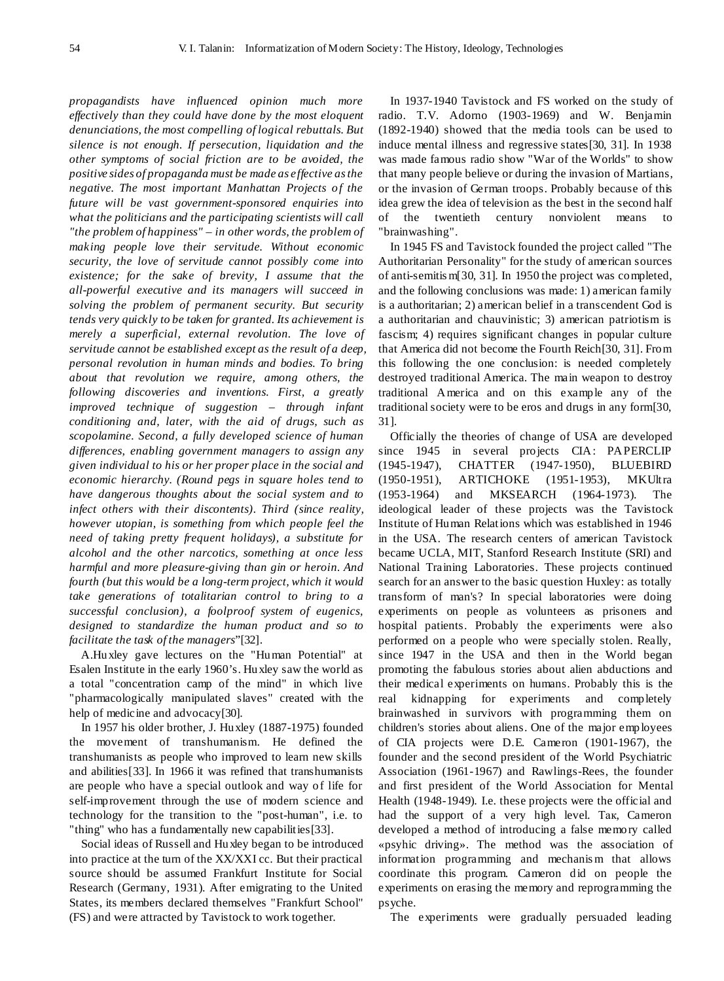*propagandists have influenced opinion much more effectively than they could have done by the most eloquent denunciations, the most compelling of logical rebuttals. But silence is not enough. If persecution, liquidation and the other symptoms of social friction are to be avoided, the positive sides of propaganda must be made as effective as the negative. The most important Manhattan Projects of the future will be vast government-sponsored enquiries into what the politicians and the participating scientists will call "the problem of happiness" – in other words, the problem of making people love their servitude. Without economic security, the love of servitude cannot possibly come into existence; for the sake of brevity, I assume that the all-powerful executive and its managers will succeed in solving the problem of permanent security. But security tends very quickly to be taken for granted. Its achievement is merely a superficial, external revolution. The love of servitude cannot be established except as the result of a deep, personal revolution in human minds and bodies. To bring about that revolution we require, among others, the following discoveries and inventions. First, a greatly improved technique of suggestion – through infant conditioning and, later, with the aid of drugs, such as scopolamine. Second, a fully developed science of human differences, enabling government managers to assign any given individual to his or her proper place in the social and economic hierarchy. (Round pegs in square holes tend to have dangerous thoughts about the social system and to infect others with their discontents). Third (since reality, however utopian, is something from which people feel the need of taking pretty frequent holidays), a substitute for alcohol and the other narcotics, something at once less harmful and more pleasure-giving than gin or heroin. And fourth (but this would be a long-term project, which it would take generations of totalitarian control to bring to a successful conclusion), a foolproof system of eugenics, designed to standardize the human product and so to facilitate the task of the managers*"[32].

A.Huxley gave lectures on the "Human Potential" at Esalen Institute in the early 1960's. Huxley saw the world as a total "concentration camp of the mind" in which live "pharmacologically manipulated slaves" created with the help of medicine and advocacy[30].

In 1957 his older brother, J. Huxley (1887-1975) founded the movement of transhumanism. He defined the transhumanists as people who improved to learn new skills and abilities[33]. In 1966 it was refined that transhumanists are people who have a special outlook and way of life for self-improvement through the use of modern science and technology for the transition to the "post-human", i.e. to "thing" who has a fundamentally new capabilities[33].

Social ideas of Russell and Huxley began to be introduced into practice at the turn of the XX/XXI cc. But their practical source should be assumed Frankfurt Institute for Social Research (Germany, 1931). After emigrating to the United States, its members declared themselves "Frankfurt School" (FS) and were attracted by Tavistock to work together.

In 1937-1940 Tavistock and FS worked on the study of radio. T.V. Adorno (1903-1969) and W. Benjamin (1892-1940) showed that the media tools can be used to induce mental illness and regressive states[30, 31]. In 1938 was made famous radio show "War of the Worlds" to show that many people believe or during the invasion of Martians, or the invasion of German troops. Probably because of this idea grew the idea of television as the best in the second half of the twentieth century nonviolent means to "brainwashing".

In 1945 FS and Tavistock founded the project called "The Authoritarian Personality" for the study of american sources of anti-semitis m[30, 31]. In 1950 the project was completed, and the following conclusions was made: 1) american family is a authoritarian; 2) american belief in a transcendent God is a authoritarian and chauvinistic; 3) american patriotism is fascism; 4) requires significant changes in popular culture that America did not become the Fourth Reich[30, 31]. From this following the one conclusion: is needed completely destroyed traditional America. The main weapon to destroy traditional America and on this example any of the traditional society were to be eros and drugs in any form[30, 31].

Officially the theories of change of USA are developed since 1945 in several projects CIA: PAPERCLIP (1945-1947), CHATTER (1947-1950), BLUEBIRD (1950-1951), ARTICHOKE (1951-1953), MKUltra (1953-1964) and MKSEARCH (1964-1973). The ideological leader of these projects was the Tavistock Institute of Human Relations which was established in 1946 in the USA. The research centers of american Tavistock became UCLA, MIT, Stanford Research Institute (SRI) and National Training Laboratories. These projects continued search for an answer to the basic question Huxley: as totally transform of man's? In special laboratories were doing experiments on people as volunteers as prisoners and hospital patients. Probably the experiments were also performed on a people who were specially stolen. Really, since 1947 in the USA and then in the World began promoting the fabulous stories about alien abductions and their medical experiments on humans. Probably this is the real kidnapping for experiments and completely brainwashed in survivors with programming them on children's stories about aliens. One of the major employees of CIA projects were D.E. Cameron (1901-1967), the founder and the second president of the World Psychiatric Association (1961-1967) and Rawlings-Rees, the founder and first president of the World Association for Mental Health (1948-1949). I.e. these projects were the official and had the support of a very high level. Так, Cameron developed a method of introducing a false memory called «psyhic driving». The method was the association of information programming and mechanis m that allows coordinate this program. Cameron did on people the experiments on erasing the memory and reprogramming the psyche.

The experiments were gradually persuaded leading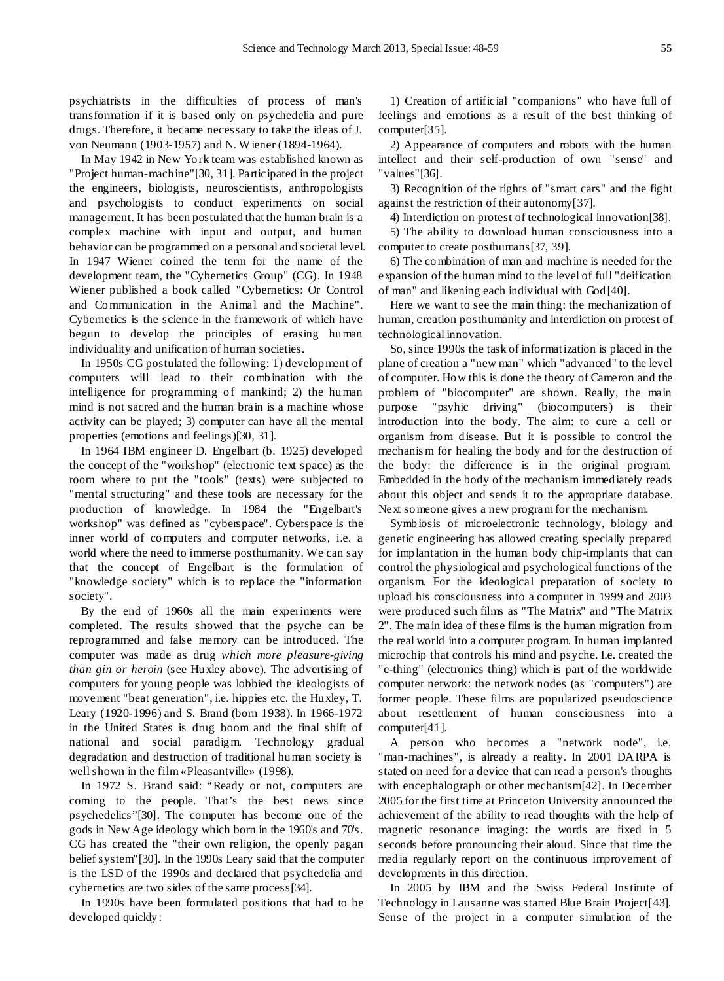psychiatrists in the difficulties of process of man's transformation if it is based only on psychedelia and pure drugs. Therefore, it became necessary to take the ideas of J. von Neumann (1903-1957) and N. W iener (1894-1964).

In May 1942 in New York team was established known as "Project human-machine"[30, 31]. Participated in the project the engineers, biologists, neuroscientists, anthropologists and psychologists to conduct experiments on social management. It has been postulated that the human brain is a complex machine with input and output, and human behavior can be programmed on a personal and societal level. In 1947 Wiener coined the term for the name of the development team, the "Cybernetics Group" (CG). In 1948 Wiener published a book called "Cybernetics: Or Control and Communication in the Animal and the Machine". Cybernetics is the science in the framework of which have begun to develop the principles of erasing human individuality and unification of human societies.

In 1950s CG postulated the following: 1) development of computers will lead to their combination with the intelligence for programming of mankind; 2) the human mind is not sacred and the human brain is a machine whose activity can be played; 3) computer can have all the mental properties (emotions and feelings)[30, 31].

In 1964 IBM engineer D. Engelbart (b. 1925) developed the concept of the "workshop" (electronic text space) as the room where to put the "tools" (texts) were subjected to "mental structuring" and these tools are necessary for the production of knowledge. In 1984 the "Engelbart's workshop" was defined as "cyberspace". Cyberspace is the inner world of computers and computer networks, i.e. a world where the need to immerse posthumanity. We can say that the concept of Engelbart is the formulation of "knowledge society" which is to replace the "information society".

By the end of 1960s all the main experiments were completed. The results showed that the psyche can be reprogrammed and false memory can be introduced. The computer was made as drug *which more pleasure-giving than gin or heroin* (see Huxley above). The advertising of computers for young people was lobbied the ideologists of movement "beat generation", i.e. hippies etc. the Huxley, T. Leary (1920-1996) and S. Brand (born 1938). In 1966-1972 in the United States is drug boom and the final shift of national and social paradigm. Technology gradual degradation and destruction of traditional human society is well shown in the film «Pleasantville» (1998).

In 1972 S. Brand said: "Ready or not, computers are coming to the people. That's the best news since psychedelics"[30]. The computer has become one of the gods in New Age ideology which born in the 1960's and 70's. CG has created the "their own religion, the openly pagan belief system"[30]. In the 1990s Leary said that the computer is the LSD of the 1990s and declared that psychedelia and cybernetics are two sides of the same process[34].

In 1990s have been formulated positions that had to be developed quickly:

1) Creation of artificial "companions" who have full of feelings and emotions as a result of the best thinking of computer[35].

2) Appearance of computers and robots with the human intellect and their self-production of own "sense" and "values"[36].

3) Recognition of the rights of "smart cars" and the fight against the restriction of their autonomy[37].

4) Interdiction on protest of technological innovation[38].

5) The ability to download human consciousness into a computer to create posthumans[37, 39].

6) The combination of man and machine is needed for the expansion of the human mind to the level of full "deification of man" and likening each individual with God[40].

Here we want to see the main thing: the mechanization of human, creation posthumanity and interdiction on protest of technological innovation.

So, since 1990s the task of informatization is placed in the plane of creation a "new man" which "advanced" to the level of computer. How this is done the theory of Cameron and the problem of "biocomputer" are shown. Really, the main purpose "psyhic driving" (biocomputers) is their introduction into the body. The aim: to cure a cell or organism from disease. But it is possible to control the mechanis m for healing the body and for the destruction of the body: the difference is in the original program. Embedded in the body of the mechanism immediately reads about this object and sends it to the appropriate database. Next someone gives a new program for the mechanism.

Symbiosis of microelectronic technology, biology and genetic engineering has allowed creating specially prepared for implantation in the human body chip-implants that can control the physiological and psychological functions of the organism. For the ideological preparation of society to upload his consciousness into a computer in 1999 and 2003 were produced such films as "The Matrix" and "The Matrix 2". The main idea of these films is the human migration from the real world into a computer program. In human implanted microchip that controls his mind and psyche. I.e. created the "e-thing" (electronics thing) which is part of the worldwide computer network: the network nodes (as "computers") are former people. These films are popularized pseudoscience about resettlement of human consciousness into a computer[41].

A person who becomes a "network node", i.e. "man-machines", is already a reality. In 2001 DARPA is stated on need for a device that can read a person's thoughts with encephalograph or other mechanism[42]. In December 2005 for the first time at Princeton University announced the achievement of the ability to read thoughts with the help of magnetic resonance imaging: the words are fixed in 5 seconds before pronouncing their aloud. Since that time the media regularly report on the continuous improvement of developments in this direction.

In 2005 by IBM and the Swiss Federal Institute of Technology in Lausanne was started Blue Brain Project[43]. Sense of the project in a computer simulation of the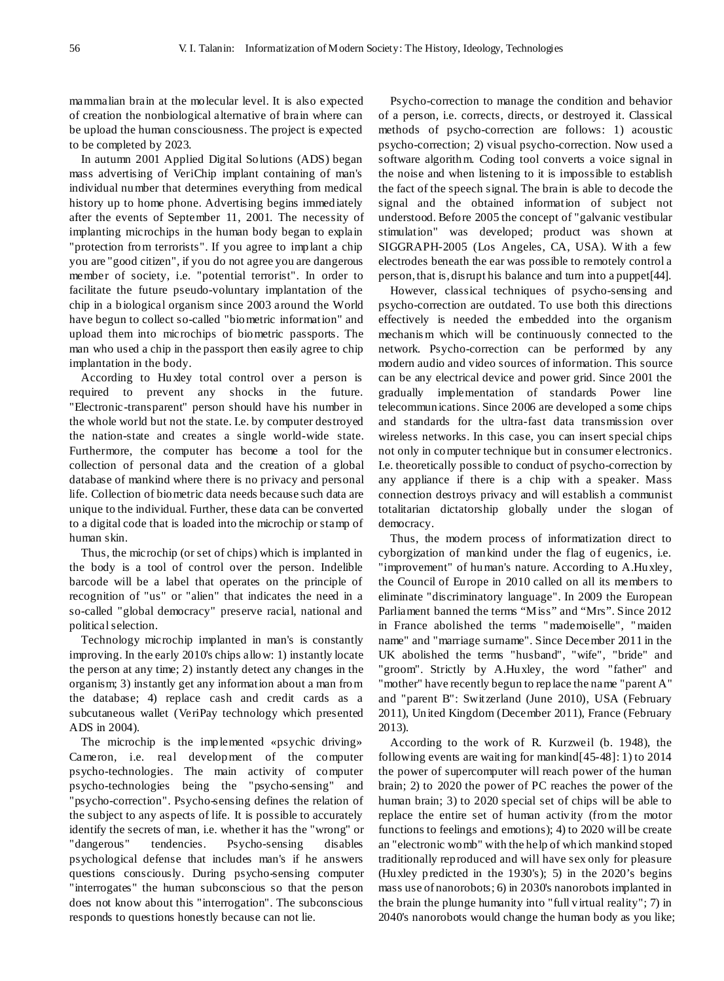mammalian brain at the molecular level. It is also expected of creation the nonbiological alternative of brain where can be upload the human consciousness. The project is expected to be completed by 2023.

In autumn 2001 Applied Digital Solutions (ADS) began mass advertising of VeriChip implant containing of man's individual number that determines everything from medical history up to home phone. Advertising begins immediately after the events of September 11, 2001. The necessity of implanting microchips in the human body began to explain "protection from terrorists". If you agree to implant a chip you are "good citizen", if you do not agree you are dangerous member of society, i.e. "potential terrorist". In order to facilitate the future pseudo-voluntary implantation of the chip in a biological organism since 2003 around the World have begun to collect so-called "biometric information" and upload them into microchips of biometric passports. The man who used a chip in the passport then easily agree to chip implantation in the body.

According to Huxley total control over a person is required to prevent any shocks in the future. "Electronic-transparent" person should have his number in the whole world but not the state. I.e. by computer destroyed the nation-state and creates a single world-wide state. Furthermore, the computer has become a tool for the collection of personal data and the creation of a global database of mankind where there is no privacy and personal life. Collection of biometric data needs because such data are unique to the individual. Further, these data can be converted to a digital code that is loaded into the microchip or stamp of human skin.

Thus, the microchip (or set of chips) which is implanted in the body is a tool of control over the person. Indelible barcode will be a label that operates on the principle of recognition of "us" or "alien" that indicates the need in a so-called "global democracy" preserve racial, national and political selection.

Technology microchip implanted in man's is constantly improving. In the early 2010's chips allow: 1) instantly locate the person at any time; 2) instantly detect any changes in the organism; 3) instantly get any information about a man from the database; 4) replace cash and credit cards as a subcutaneous wallet (VeriPay technology which presented ADS in 2004).

The microchip is the implemented «psychic driving» Cameron, i.e. real development of the computer psycho-technologies. The main activity of computer psycho-technologies being the "psycho-sensing" and "psycho-correction". Psycho-sensing defines the relation of the subject to any aspects of life. It is possible to accurately identify the secrets of man, i.e. whether it has the "wrong" or "dangerous" tendencies. Psycho-sensing disables psychological defense that includes man's if he answers questions consciously. During psycho-sensing computer "interrogates" the human subconscious so that the person does not know about this "interrogation". The subconscious responds to questions honestly because can not lie.

Psycho-correction to manage the condition and behavior of a person, i.e. corrects, directs, or destroyed it. Classical methods of psycho-correction are follows: 1) acoustic psycho-correction; 2) visual psycho-correction. Now used a software algorithm. Coding tool converts a voice signal in the noise and when listening to it is impossible to establish the fact of the speech signal. The brain is able to decode the signal and the obtained information of subject not understood. Before 2005 the concept of "galvanic vestibular stimulation" was developed; product was shown at SIGGRAPH-2005 (Los Angeles, CA, USA). W ith a few electrodes beneath the ear was possible to remotely control a person, that is, disrupt his balance and turn into a puppet[44].

However, classical techniques of psycho-sensing and psycho-correction are outdated. To use both this directions effectively is needed the embedded into the organism mechanis m which will be continuously connected to the network. Psycho-correction can be performed by any modern audio and video sources of information. This source can be any electrical device and power grid. Since 2001 the gradually implementation of standards Power line telecommunications. Since 2006 are developed a some chips and standards for the ultra-fast data transmission over wireless networks. In this case, you can insert special chips not only in computer technique but in consumer electronics. I.e. theoretically possible to conduct of psycho-correction by any appliance if there is a chip with a speaker. Mass connection destroys privacy and will establish a communist totalitarian dictatorship globally under the slogan of democracy.

Thus, the modern process of informatization direct to cyborgization of mankind under the flag of eugenics, i.e. "improvement" of human's nature. According to A.Huxley, the Council of Europe in 2010 called on all its members to eliminate "discriminatory language". In 2009 the European Parliament banned the terms "Miss" and "Mrs". Since 2012 in France abolished the terms " mademoiselle", " maiden name" and "marriage surname". Since December 2011 in the UK abolished the terms "husband", "wife", "bride" and "groom". Strictly by A.Huxley, the word "father" and "mother" have recently begun to replace the name "parent A" and "parent B": Switzerland (June 2010), USA (February 2011), United Kingdom (December 2011), France (February 2013).

According to the work of R. Kurzweil (b. 1948), the following events are waiting for mankind[45-48]: 1) to 2014 the power of supercomputer will reach power of the human brain; 2) to 2020 the power of PC reaches the power of the human brain; 3) to 2020 special set of chips will be able to replace the entire set of human activity (from the motor functions to feelings and emotions); 4) to 2020 will be create an "electronic womb" with the help of which mankind stoped traditionally reproduced and will have sex only for pleasure (Huxley predicted in the 1930's); 5) in the 2020's begins mass use of nanorobots; 6) in 2030's nanorobots implanted in the brain the plunge humanity into "full virtual reality"; 7) in 2040's nanorobots would change the human body as you like;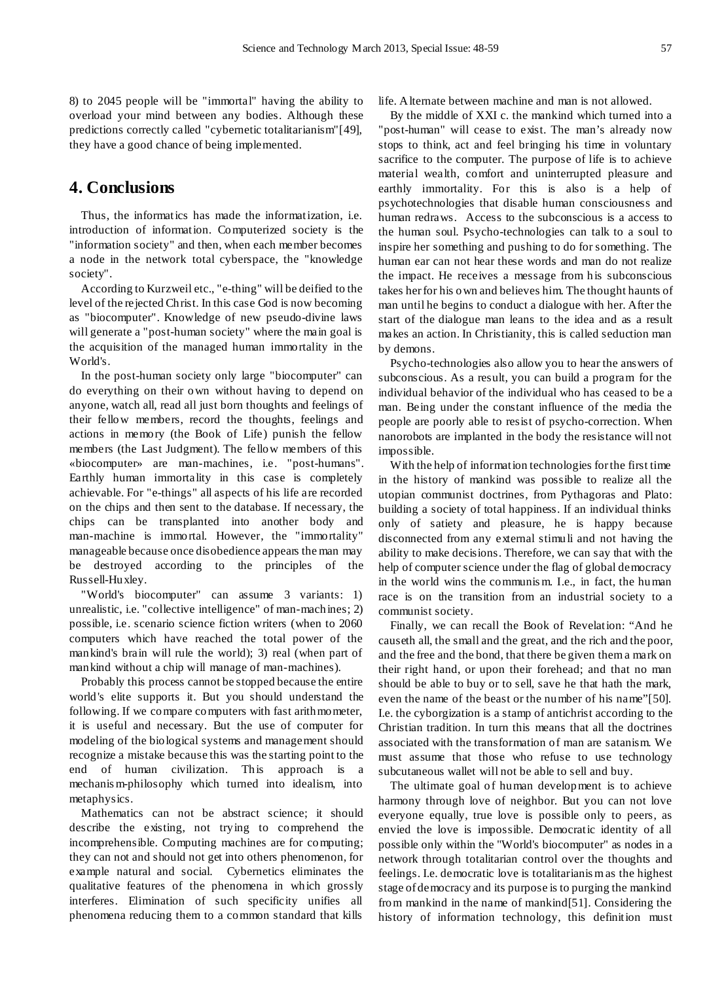8) to 2045 people will be "immortal" having the ability to overload your mind between any bodies. Although these predictions correctly called "cybernetic totalitarianism"[49], they have a good chance of being implemented.

### **4. Conclusions**

Thus, the informatics has made the informatization, i.e. introduction of information. Computerized society is the "information society" and then, when each member becomes a node in the network total cyberspace, the "knowledge society".

According to Kurzweil etc., "e-thing" will be deified to the level of the rejected Christ. In this case God is now becoming as "biocomputer". Knowledge of new pseudo-divine laws will generate a "post-human society" where the main goal is the acquisition of the managed human immortality in the World's.

In the post-human society only large "biocomputer" can do everything on their own without having to depend on anyone, watch all, read all just born thoughts and feelings of their fellow members, record the thoughts, feelings and actions in memory (the Book of Life) punish the fellow members (the Last Judgment). The fellow members of this «biocomputer» are man-machines, i.e. "post-humans". Earthly human immortality in this case is completely achievable. For "e-things" all aspects of his life are recorded on the chips and then sent to the database. If necessary, the chips can be transplanted into another body and man-machine is immortal. However, the "immortality" manageable because once disobedience appears the man may be destroyed according to the principles of the Russell-Huxley.

"World's biocomputer" can assume 3 variants: 1) unrealistic, i.e. "collective intelligence" of man-machines; 2) possible, i.e. scenario science fiction writers (when to 2060 computers which have reached the total power of the mankind's brain will rule the world); 3) real (when part of mankind without a chip will manage of man-machines).

Probably this process cannot be stopped because the entire world's elite supports it. But you should understand the following. If we compare computers with fast arithmometer, it is useful and necessary. But the use of computer for modeling of the biological systems and management should recognize a mistake because this was the starting point to the end of human civilization. This approach is a mechanis m-philosophy which turned into idealism, into metaphysics.

Mathematics can not be abstract science; it should describe the existing, not trying to comprehend the incomprehensible. Computing machines are for computing; they can not and should not get into others phenomenon, for example natural and social. Cybernetics eliminates the qualitative features of the phenomena in which grossly interferes. Elimination of such specificity unifies all phenomena reducing them to a common standard that kills

life. Alternate between machine and man is not allowed.

By the middle of XXI c. the mankind which turned into a "post-human" will cease to exist. The man's already now stops to think, act and feel bringing his time in voluntary sacrifice to the computer. The purpose of life is to achieve material wealth, comfort and uninterrupted pleasure and earthly immortality. For this is also is a help of psychotechnologies that disable human consciousness and human redraws. Access to the subconscious is a access to the human soul. Psycho-technologies can talk to a soul to inspire her something and pushing to do for something. The human ear can not hear these words and man do not realize the impact. He receives a message from his subconscious takes her for his own and believes him. The thought haunts of man until he begins to conduct a dialogue with her. After the start of the dialogue man leans to the idea and as a result makes an action. In Christianity, this is called seduction man by demons.

Psycho-technologies also allow you to hear the answers of subconscious. As a result, you can build a program for the individual behavior of the individual who has ceased to be a man. Being under the constant influence of the media the people are poorly able to resist of psycho-correction. When nanorobots are implanted in the body the resistance will not impossible.

With the help of information technologies for the first time in the history of mankind was possible to realize all the utopian communist doctrines, from Pythagoras and Plato: building a society of total happiness. If an individual thinks only of satiety and pleasure, he is happy because disconnected from any external stimuli and not having the ability to make decisions. Therefore, we can say that with the help of computer science under the flag of global democracy in the world wins the communis m. I.e., in fact, the human race is on the transition from an industrial society to a communist society.

Finally, we can recall the Book of Revelation: "And he causeth all, the small and the great, and the rich and the poor, and the free and the bond, that there be given them a mark on their right hand, or upon their forehead; and that no man should be able to buy or to sell, save he that hath the mark, even the name of the beast or the number of his name"[50]. I.e. the cyborgization is a stamp of antichrist according to the Christian tradition. In turn this means that all the doctrines associated with the transformation of man are satanism. We must assume that those who refuse to use technology subcutaneous wallet will not be able to sell and buy.

The ultimate goal of human development is to achieve harmony through love of neighbor. But you can not love everyone equally, true love is possible only to peers, as envied the love is impossible. Democratic identity of all possible only within the "World's biocomputer" as nodes in a network through totalitarian control over the thoughts and feelings. I.e. democratic love is totalitarianis m as the highest stage of democracy and its purpose is to purging the mankind from mankind in the name of mankind[51]. Considering the history of information technology, this definition must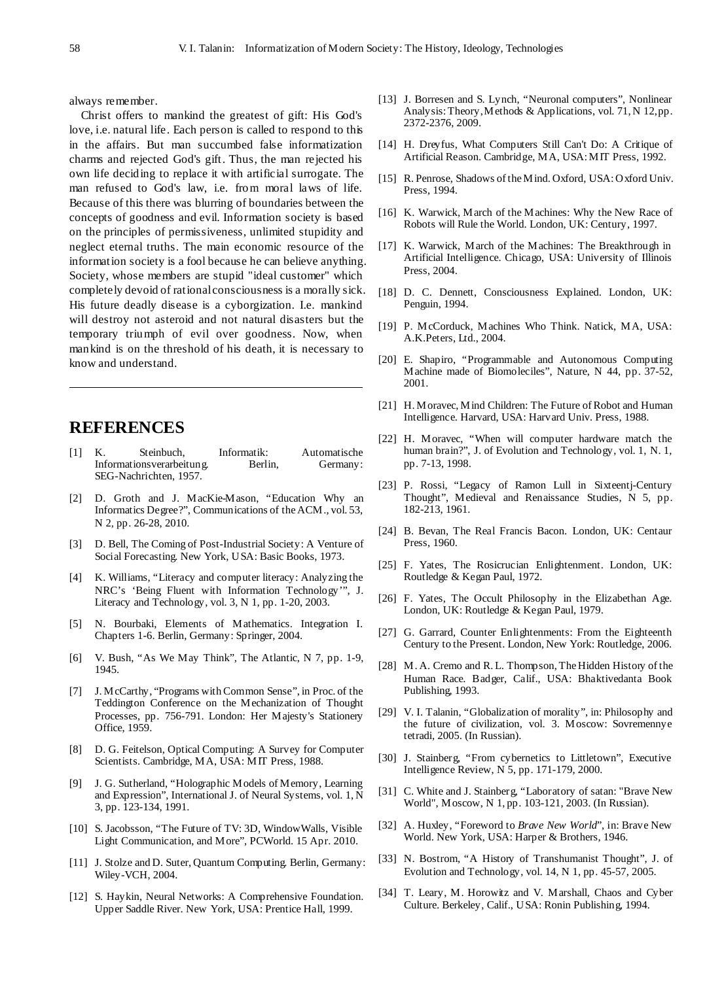always remember.

Christ offers to mankind the greatest of gift: His God's love, i.e. natural life. Each person is called to respond to this in the affairs. But man succumbed false informatization charms and rejected God's gift. Thus, the man rejected his own life deciding to replace it with artificial surrogate. The man refused to God's law, i.e. from moral laws of life. Because of this there was blurring of boundaries between the concepts of goodness and evil. Information society is based on the principles of permissiveness, unlimited stupidity and neglect eternal truths. The main economic resource of the information society is a fool because he can believe anything. Society, whose members are stupid "ideal customer" which completely devoid of rational consciousness is a morally sick. His future deadly disease is a cyborgization. I.e. mankind will destroy not asteroid and not natural disasters but the temporary triumph of evil over goodness. Now, when mankind is on the threshold of his death, it is necessary to know and understand.

## **REFERENCES**

- [1] K. Steinbuch, Informatik: Automatische Informationsverarbeitung. Berlin, Germany: SEG-Nachrichten, 1957.
- [2] D. Groth and J. MacKie-Mason, "Education Why an Informatics Degree?", Communications of the ACM., vol. 53, N 2, pp. 26-28, 2010.
- [3] D. Bell, The Coming of Post-Industrial Society: A Venture of Social Forecasting. New York, USA: Basic Books, 1973.
- [4] K. Williams, "Literacy and computer literacy: Analyzing the NRC's 'Being Fluent with Information Technology'", J. Literacy and Technology, vol. 3, N 1, pp. 1-20, 2003.
- [5] N. Bourbaki, Elements of Mathematics. Integration I. Chapters 1-6. Berlin, Germany: Springer, 2004.
- [6] V. Bush, "As We May Think", The Atlantic, N 7, pp. 1-9, 1945.
- [7] J. McCarthy, "Programs with Common Sense", in Proc. of the Teddington Conference on the Mechanization of Thought Processes, pp. 756-791. London: Her Majesty's Stationery Office, 1959.
- [8] D. G. Feitelson, Optical Computing: A Survey for Computer Scientists. Cambridge, MA, USA: MIT Press, 1988.
- [9] J. G. Sutherland, "Holographic Models of Memory, Learning and Expression", International J. of Neural Systems, vol. 1, N 3, pp. 123-134, 1991.
- [10] S. Jacobsson, "The Future of TV: 3D, WindowWalls, Visible Light Communication, and More", PCWorld. 15 Apr. 2010.
- [11] J. Stolze and D. Suter, Quantum Computing. Berlin, Germany: Wiley-VCH, 2004.
- [12] S. Haykin, Neural Networks: A Comprehensive Foundation. Upper Saddle River. New York, USA: Prentice Hall, 1999.
- [13] J. Borresen and S. Lynch, "Neuronal computers", Nonlinear Analysis: Theory, Methods & Applications, vol. 71, N 12, pp. 2372-2376, 2009.
- [14] H. Dreyfus, What Computers Still Can't Do: A Critique of Artificial Reason. Cambridge, MA, USA: MIT Press, 1992.
- [15] R. Penrose, Shadows of the Mind. Oxford, USA: Oxford Univ. Press, 1994.
- [16] K. Warwick, March of the Machines: Why the New Race of Robots will Rule the World. London, UK: Century, 1997.
- [17] K. Warwick, March of the Machines: The Breakthrough in Artificial Intelligence. Chicago, USA: University of Illinois Press, 2004.
- [18] D. C. Dennett, Consciousness Explained. London, UK: Penguin, 1994.
- [19] P. McCorduck, Machines Who Think. Natick, MA, USA: A.K.Peters, Ltd., 2004.
- [20] E. Shapiro, "Programmable and Autonomous Computing Machine made of Biomoleciles", Nature, N 44, pp. 37-52, 2001.
- [21] H. Moravec, Mind Children: The Future of Robot and Human Intelligence. Harvard, USA: Harvard Univ. Press, 1988.
- [22] H. Moravec, "When will computer hardware match the human brain?", J. of Evolution and Technology, vol. 1, N. 1, pp. 7-13, 1998.
- [23] P. Rossi, "Legacy of Ramon Lull in Sixteentj-Century Thought", Medieval and Renaissance Studies, N 5, pp. 182-213, 1961.
- [24] B. Bevan, The Real Francis Bacon. London, UK: Centaur Press, 1960.
- [25] F. Yates, The Rosicrucian Enlightenment. London, UK: Routledge & Kegan Paul, 1972.
- [26] F. Yates, The Occult Philosophy in the Elizabethan Age. London, UK: Routledge & Kegan Paul, 1979.
- [27] G. Garrard, Counter Enlightenments: From the Eighteenth Century to the Present. London, New York: Routledge, 2006.
- [28] M. A. Cremo and R. L. Thompson, The Hidden History of the Human Race. Badger, Calif., USA: Bhaktivedanta Book Publishing, 1993.
- [29] V. I. Talanin, "Globalization of morality", in: Philosophy and the future of civilization, vol. 3. Moscow: Sovremennye tetradi, 2005. (In Russian).
- [30] J. Stainberg, "From cybernetics to Littletown", Executive Intelligence Review, N 5, pp. 171-179, 2000.
- [31] C. White and J. Stainberg, "Laboratory of satan: "Brave New World", Moscow, N 1, pp. 103-121, 2003. (In Russian).
- [32] A. Huxley, "Foreword to *Brave New World*", in: Brave New World. New York, USA: Harper & Brothers, 1946.
- [33] N. Bostrom, "A History of Transhumanist Thought", J. of Evolution and Technology, vol. 14, N 1, pp. 45-57, 2005.
- [34] T. Leary, M. Horowitz and V. Marshall, Chaos and Cyber Culture. Berkeley, Calif., USA: Ronin Publishing, 1994.